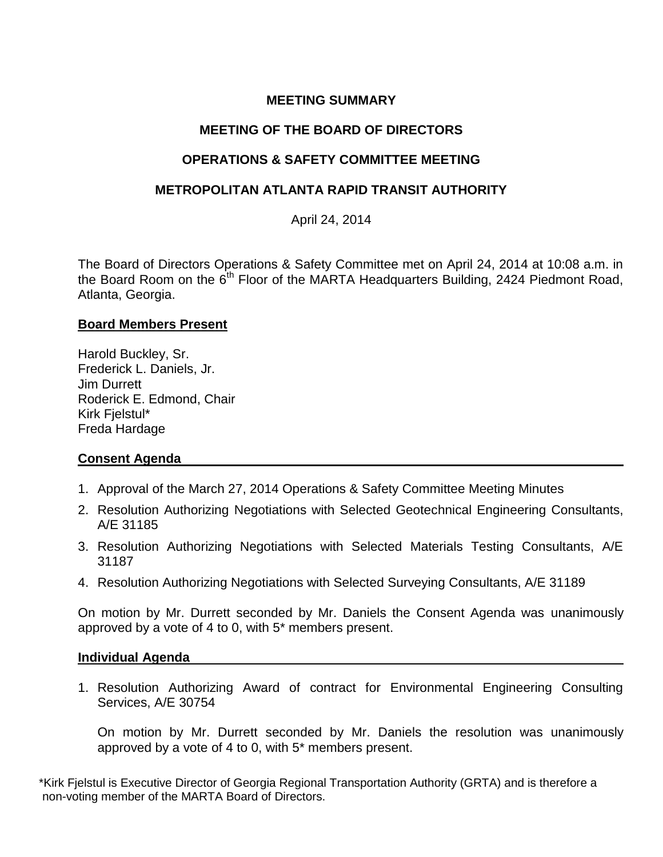# **MEETING SUMMARY**

## **MEETING OF THE BOARD OF DIRECTORS**

## **OPERATIONS & SAFETY COMMITTEE MEETING**

## **METROPOLITAN ATLANTA RAPID TRANSIT AUTHORITY**

April 24, 2014

The Board of Directors Operations & Safety Committee met on April 24, 2014 at 10:08 a.m. in the Board Room on the  $6<sup>th</sup>$  Floor of the MARTA Headquarters Building, 2424 Piedmont Road, Atlanta, Georgia.

#### **Board Members Present**

Harold Buckley, Sr. Frederick L. Daniels, Jr. Jim Durrett Roderick E. Edmond, Chair Kirk Fjelstul\* Freda Hardage

## **Consent Agenda**

- 1. Approval of the March 27, 2014 Operations & Safety Committee Meeting Minutes
- 2. Resolution Authorizing Negotiations with Selected Geotechnical Engineering Consultants, A/E 31185
- 3. Resolution Authorizing Negotiations with Selected Materials Testing Consultants, A/E 31187
- 4. Resolution Authorizing Negotiations with Selected Surveying Consultants, A/E 31189

On motion by Mr. Durrett seconded by Mr. Daniels the Consent Agenda was unanimously approved by a vote of 4 to 0, with 5\* members present.

#### **Individual Agenda**

1. Resolution Authorizing Award of contract for Environmental Engineering Consulting Services, A/E 30754

On motion by Mr. Durrett seconded by Mr. Daniels the resolution was unanimously approved by a vote of 4 to 0, with 5\* members present.

\*Kirk Fjelstul is Executive Director of Georgia Regional Transportation Authority (GRTA) and is therefore a non-voting member of the MARTA Board of Directors.